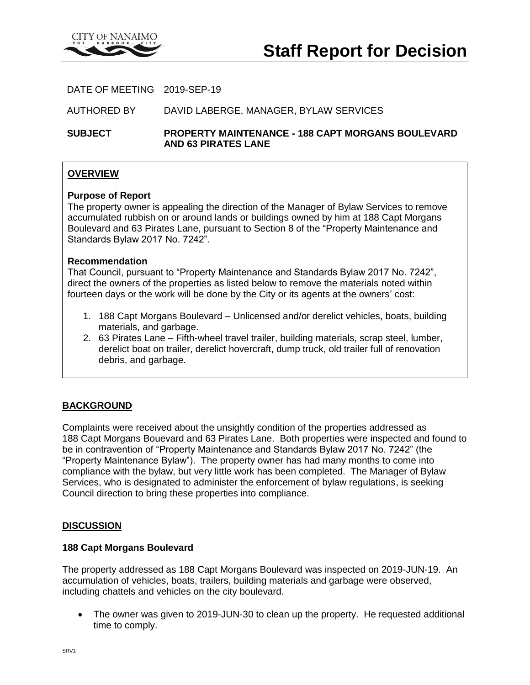

DATE OF MEETING 2019-SEP-19

AUTHORED BY DAVID LABERGE, MANAGER, BYLAW SERVICES

**SUBJECT PROPERTY MAINTENANCE - 188 CAPT MORGANS BOULEVARD AND 63 PIRATES LANE**

# **OVERVIEW**

### **Purpose of Report**

The property owner is appealing the direction of the Manager of Bylaw Services to remove accumulated rubbish on or around lands or buildings owned by him at 188 Capt Morgans Boulevard and 63 Pirates Lane, pursuant to Section 8 of the "Property Maintenance and Standards Bylaw 2017 No. 7242".

### **Recommendation**

That Council, pursuant to "Property Maintenance and Standards Bylaw 2017 No. 7242", direct the owners of the properties as listed below to remove the materials noted within fourteen days or the work will be done by the City or its agents at the owners' cost:

- 1. 188 Capt Morgans Boulevard Unlicensed and/or derelict vehicles, boats, building materials, and garbage.
- 2. 63 Pirates Lane Fifth-wheel travel trailer, building materials, scrap steel, lumber, derelict boat on trailer, derelict hovercraft, dump truck, old trailer full of renovation debris, and garbage.

# **BACKGROUND**

Complaints were received about the unsightly condition of the properties addressed as 188 Capt Morgans Bouevard and 63 Pirates Lane. Both properties were inspected and found to be in contravention of "Property Maintenance and Standards Bylaw 2017 No. 7242" (the "Property Maintenance Bylaw"). The property owner has had many months to come into compliance with the bylaw, but very little work has been completed. The Manager of Bylaw Services, who is designated to administer the enforcement of bylaw regulations, is seeking Council direction to bring these properties into compliance.

### **DISCUSSION**

#### **188 Capt Morgans Boulevard**

The property addressed as 188 Capt Morgans Boulevard was inspected on 2019-JUN-19. An accumulation of vehicles, boats, trailers, building materials and garbage were observed, including chattels and vehicles on the city boulevard.

 The owner was given to 2019-JUN-30 to clean up the property. He requested additional time to comply.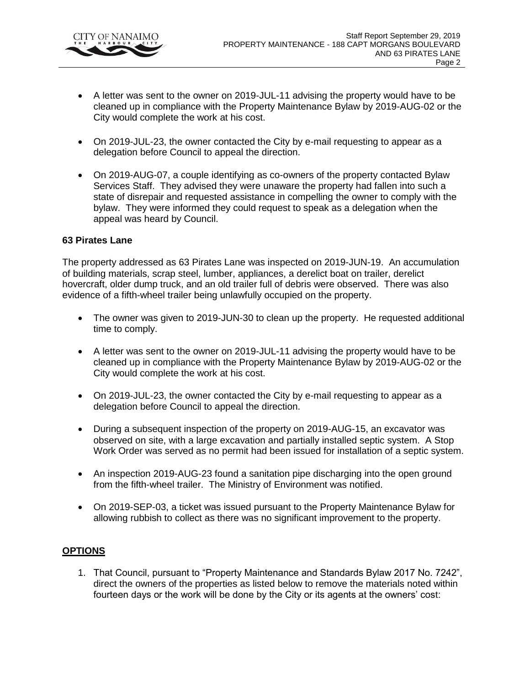

- A letter was sent to the owner on 2019-JUL-11 advising the property would have to be cleaned up in compliance with the Property Maintenance Bylaw by 2019-AUG-02 or the City would complete the work at his cost.
- On 2019-JUL-23, the owner contacted the City by e-mail requesting to appear as a delegation before Council to appeal the direction.
- On 2019-AUG-07, a couple identifying as co-owners of the property contacted Bylaw Services Staff. They advised they were unaware the property had fallen into such a state of disrepair and requested assistance in compelling the owner to comply with the bylaw. They were informed they could request to speak as a delegation when the appeal was heard by Council.

# **63 Pirates Lane**

The property addressed as 63 Pirates Lane was inspected on 2019-JUN-19. An accumulation of building materials, scrap steel, lumber, appliances, a derelict boat on trailer, derelict hovercraft, older dump truck, and an old trailer full of debris were observed. There was also evidence of a fifth-wheel trailer being unlawfully occupied on the property.

- The owner was given to 2019-JUN-30 to clean up the property. He requested additional time to comply.
- A letter was sent to the owner on 2019-JUL-11 advising the property would have to be cleaned up in compliance with the Property Maintenance Bylaw by 2019-AUG-02 or the City would complete the work at his cost.
- On 2019-JUL-23, the owner contacted the City by e-mail requesting to appear as a delegation before Council to appeal the direction.
- During a subsequent inspection of the property on 2019-AUG-15, an excavator was observed on site, with a large excavation and partially installed septic system. A Stop Work Order was served as no permit had been issued for installation of a septic system.
- An inspection 2019-AUG-23 found a sanitation pipe discharging into the open ground from the fifth-wheel trailer. The Ministry of Environment was notified.
- On 2019-SEP-03, a ticket was issued pursuant to the Property Maintenance Bylaw for allowing rubbish to collect as there was no significant improvement to the property.

# **OPTIONS**

1. That Council, pursuant to "Property Maintenance and Standards Bylaw 2017 No. 7242", direct the owners of the properties as listed below to remove the materials noted within fourteen days or the work will be done by the City or its agents at the owners' cost: